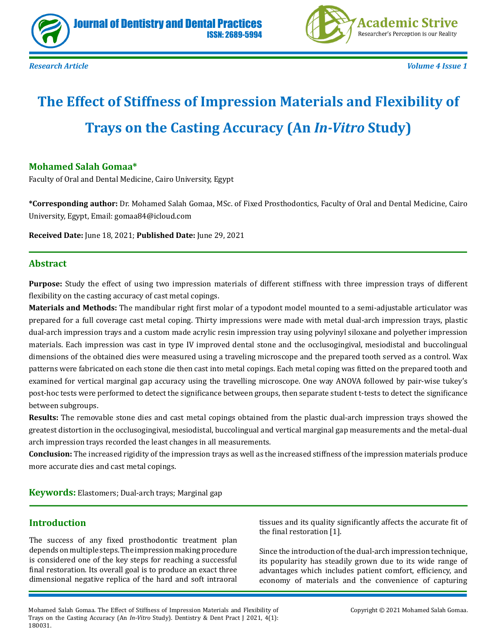



*Research Article Volume 4 Issue 1*

# **The Effect of Stiffness of Impression Materials and Flexibility of Trays on the Casting Accuracy (An** *In-Vitro* **Study)**

## **Mohamed Salah Gomaa\***

Faculty of Oral and Dental Medicine, Cairo University, Egypt

**\*Corresponding author:** Dr. Mohamed Salah Gomaa, MSc. of Fixed Prosthodontics, Faculty of Oral and Dental Medicine, Cairo University, Egypt, Email: gomaa84@icloud.com

**Received Date:** June 18, 2021; **Published Date:** June 29, 2021

#### **Abstract**

**Purpose:** Study the effect of using two impression materials of different stiffness with three impression trays of different flexibility on the casting accuracy of cast metal copings.

**Materials and Methods:** The mandibular right first molar of a typodont model mounted to a semi-adjustable articulator was prepared for a full coverage cast metal coping. Thirty impressions were made with metal dual-arch impression trays, plastic dual-arch impression trays and a custom made acrylic resin impression tray using polyvinyl siloxane and polyether impression materials. Each impression was cast in type IV improved dental stone and the occlusogingival, mesiodistal and buccolingual dimensions of the obtained dies were measured using a traveling microscope and the prepared tooth served as a control. Wax patterns were fabricated on each stone die then cast into metal copings. Each metal coping was fitted on the prepared tooth and examined for vertical marginal gap accuracy using the travelling microscope. One way ANOVA followed by pair-wise tukey's post-hoc tests were performed to detect the significance between groups, then separate student t-tests to detect the significance between subgroups.

**Results:** The removable stone dies and cast metal copings obtained from the plastic dual-arch impression trays showed the greatest distortion in the occlusogingival, mesiodistal, buccolingual and vertical marginal gap measurements and the metal-dual arch impression trays recorded the least changes in all measurements.

**Conclusion:** The increased rigidity of the impression trays as well as the increased stiffness of the impression materials produce more accurate dies and cast metal copings.

**Keywords:** Elastomers; Dual-arch trays; Marginal gap

#### **Introduction**

The success of any fixed prosthodontic treatment plan depends on multiple steps. The impression making procedure is considered one of the key steps for reaching a successful final restoration. Its overall goal is to produce an exact three dimensional negative replica of the hard and soft intraoral tissues and its quality significantly affects the accurate fit of the final restoration [1].

Since the introduction of the dual-arch impression technique, its popularity has steadily grown due to its wide range of advantages which includes patient comfort, efficiency, and economy of materials and the convenience of capturing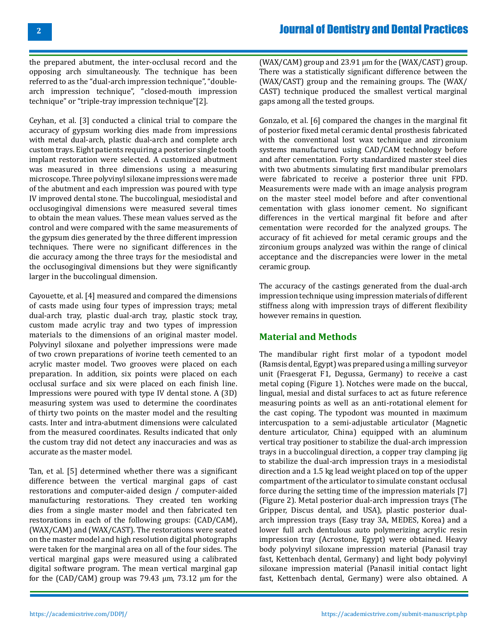the prepared abutment, the inter-occlusal record and the opposing arch simultaneously. The technique has been referred to as the "dual-arch impression technique", "doublearch impression technique", "closed-mouth impression technique" or "triple-tray impression technique"[2].

Ceyhan, et al. [3] conducted a clinical trial to compare the accuracy of gypsum working dies made from impressions with metal dual-arch, plastic dual-arch and complete arch custom trays. Eight patients requiring a posterior single tooth implant restoration were selected. A customized abutment was measured in three dimensions using a measuring microscope. Three polyvinyl siloxane impressions were made of the abutment and each impression was poured with type IV improved dental stone. The buccolingual, mesiodistal and occlusogingival dimensions were measured several times to obtain the mean values. These mean values served as the control and were compared with the same measurements of the gypsum dies generated by the three different impression techniques. There were no significant differences in the die accuracy among the three trays for the mesiodistal and the occlusogingival dimensions but they were significantly larger in the buccolingual dimension.

Cayouette, et al. [4] measured and compared the dimensions of casts made using four types of impression trays; metal dual-arch tray, plastic dual-arch tray, plastic stock tray, custom made acrylic tray and two types of impression materials to the dimensions of an original master model. Polyvinyl siloxane and polyether impressions were made of two crown preparations of ivorine teeth cemented to an acrylic master model. Two grooves were placed on each preparation. In addition, six points were placed on each occlusal surface and six were placed on each finish line. Impressions were poured with type IV dental stone. A (3D) measuring system was used to determine the coordinates of thirty two points on the master model and the resulting casts. Inter and intra-abutment dimensions were calculated from the measured coordinates. Results indicated that only the custom tray did not detect any inaccuracies and was as accurate as the master model.

Tan, et al. [5] determined whether there was a significant difference between the vertical marginal gaps of cast restorations and computer-aided design / computer-aided manufacturing restorations. They created ten working dies from a single master model and then fabricated ten restorations in each of the following groups: (CAD/CAM), (WAX/CAM) and (WAX/CAST). The restorations were seated on the master model and high resolution digital photographs were taken for the marginal area on all of the four sides. The vertical marginal gaps were measured using a calibrated digital software program. The mean vertical marginal gap for the (CAD/CAM) group was 79.43 μm, 73.12 μm for the

(WAX/CAM) group and 23.91 μm for the (WAX/CAST) group. There was a statistically significant difference between the (WAX/CAST) group and the remaining groups. The (WAX/ CAST) technique produced the smallest vertical marginal gaps among all the tested groups.

Gonzalo, et al. [6] compared the changes in the marginal fit of posterior fixed metal ceramic dental prosthesis fabricated with the conventional lost wax technique and zirconium systems manufactured using CAD/CAM technology before and after cementation. Forty standardized master steel dies with two abutments simulating first mandibular premolars were fabricated to receive a posterior three unit FPD. Measurements were made with an image analysis program on the master steel model before and after conventional cementation with glass ionomer cement. No significant differences in the vertical marginal fit before and after cementation were recorded for the analyzed groups. The accuracy of fit achieved for metal ceramic groups and the zirconium groups analyzed was within the range of clinical acceptance and the discrepancies were lower in the metal ceramic group.

The accuracy of the castings generated from the dual-arch impression technique using impression materials of different stiffness along with impression trays of different flexibility however remains in question.

## **Material and Methods**

The mandibular right first molar of a typodont model (Ramsis dental, Egypt) was prepared using a milling surveyor unit (Fraesgerat F1, Degussa, Germany) to receive a cast metal coping (Figure 1). Notches were made on the buccal, lingual, mesial and distal surfaces to act as future reference measuring points as well as an anti-rotational element for the cast coping. The typodont was mounted in maximum intercuspation to a semi-adjustable articulator (Magnetic denture articulator, China) equipped with an aluminum vertical tray positioner to stabilize the dual-arch impression trays in a buccolingual direction, a copper tray clamping jig to stabilize the dual-arch impression trays in a mesiodistal direction and a 1.5 kg lead weight placed on top of the upper compartment of the articulator to simulate constant occlusal force during the setting time of the impression materials [7] (Figure 2). Metal posterior dual-arch impression trays (The Gripper, Discus dental, and USA), plastic posterior dualarch impression trays (Easy tray 3A, MEDES, Korea) and a lower full arch dentulous auto polymerizing acrylic resin impression tray (Acrostone, Egypt) were obtained. Heavy body polyvinyl siloxane impression material (Panasil tray fast, Kettenbach dental, Germany) and light body polyvinyl siloxane impression material (Panasil initial contact light fast, Kettenbach dental, Germany) were also obtained. A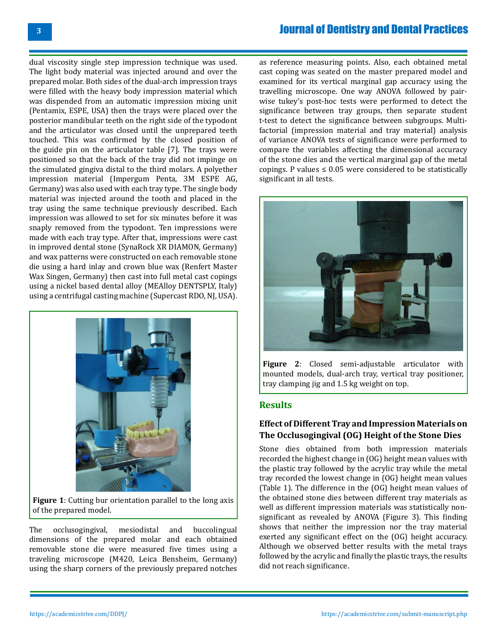dual viscosity single step impression technique was used. The light body material was injected around and over the prepared molar. Both sides of the dual-arch impression trays were filled with the heavy body impression material which was dispended from an automatic impression mixing unit (Pentamix, ESPE, USA) then the trays were placed over the posterior mandibular teeth on the right side of the typodont and the articulator was closed until the unprepared teeth touched. This was confirmed by the closed position of the guide pin on the articulator table [7]. The trays were positioned so that the back of the tray did not impinge on the simulated gingiva distal to the third molars. A polyether impression material (Impergum Penta, 3M ESPE AG, Germany) was also used with each tray type. The single body material was injected around the tooth and placed in the tray using the same technique previously described. Each impression was allowed to set for six minutes before it was snaply removed from the typodont. Ten impressions were made with each tray type. After that, impressions were cast in improved dental stone (SynaRock XR DIAMON, Germany) and wax patterns were constructed on each removable stone die using a hard inlay and crown blue wax (Renfert Master Wax Singen, Germany) then cast into full metal cast copings using a nickel based dental alloy (MEAlloy DENTSPLY, Italy) using a centrifugal casting machine (Supercast RDO, NJ, USA).



**Figure 1**: Cutting bur orientation parallel to the long axis of the prepared model.

The occlusogingival, mesiodistal and buccolingual dimensions of the prepared molar and each obtained removable stone die were measured five times using a traveling microscope (M420, Leica Bensheim, Germany) using the sharp corners of the previously prepared notches as reference measuring points. Also, each obtained metal cast coping was seated on the master prepared model and examined for its vertical marginal gap accuracy using the travelling microscope. One way ANOVA followed by pairwise tukey's post-hoc tests were performed to detect the significance between tray groups, then separate student t-test to detect the significance between subgroups. Multifactorial (impression material and tray material) analysis of variance ANOVA tests of significance were performed to compare the variables affecting the dimensional accuracy of the stone dies and the vertical marginal gap of the metal copings. P values  $\leq 0.05$  were considered to be statistically significant in all tests.



**Figure 2**: Closed semi-adjustable articulator with mounted models, dual-arch tray, vertical tray positioner, tray clamping jig and 1.5 kg weight on top.

#### **Results**

#### **Effect of Different Tray and Impression Materials on The Occlusogingival (OG) Height of the Stone Dies**

Stone dies obtained from both impression materials recorded the highest change in (OG) height mean values with the plastic tray followed by the acrylic tray while the metal tray recorded the lowest change in (OG) height mean values (Table 1). The difference in the (OG) height mean values of the obtained stone dies between different tray materials as well as different impression materials was statistically nonsignificant as revealed by ANOVA (Figure 3). This finding shows that neither the impression nor the tray material exerted any significant effect on the (OG) height accuracy. Although we observed better results with the metal trays followed by the acrylic and finally the plastic trays, the results did not reach significance.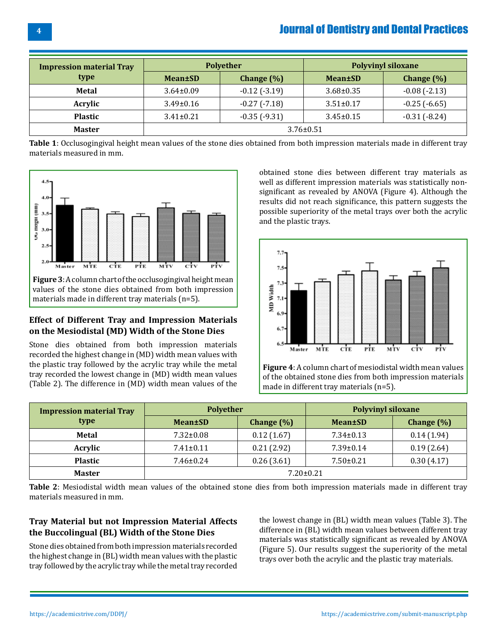| <b>Impression material Tray</b><br>type | <b>Polyether</b> |                     | <b>Polyvinyl siloxane</b> |                     |
|-----------------------------------------|------------------|---------------------|---------------------------|---------------------|
|                                         | <b>Mean</b> ±SD  | Change $(\%)$       | <b>Mean</b> ±SD           | Change $(\% )$      |
| <b>Metal</b>                            | $3.64 \pm 0.09$  | $-0.12$ ( $-3.19$ ) | $3.68 \pm 0.35$           | $-0.08(-2.13)$      |
| Acrylic                                 | $3.49 \pm 0.16$  | $-0.27$ $(-7.18)$   | $3.51 \pm 0.17$           | $-0.25$ ( $-6.65$ ) |
| <b>Plastic</b>                          | $3.41 \pm 0.21$  | $-0.35(-9.31)$      | $3.45 \pm 0.15$           | $-0.31(-8.24)$      |
| <b>Master</b>                           | $3.76 \pm 0.51$  |                     |                           |                     |

**Table 1**: Occlusogingival height mean values of the stone dies obtained from both impression materials made in different tray materials measured in mm.



#### **Effect of Different Tray and Impression Materials on the Mesiodistal (MD) Width of the Stone Dies**

Stone dies obtained from both impression materials recorded the highest change in (MD) width mean values with the plastic tray followed by the acrylic tray while the metal tray recorded the lowest change in (MD) width mean values (Table 2). The difference in (MD) width mean values of the obtained stone dies between different tray materials as well as different impression materials was statistically nonsignificant as revealed by ANOVA (Figure 4). Although the results did not reach significance, this pattern suggests the possible superiority of the metal trays over both the acrylic and the plastic trays.



**Figure 4**: A column chart of mesiodistal width mean values of the obtained stone dies from both impression materials made in different tray materials (n=5).

| <b>Impression material Tray</b> | <b>Polyether</b> |               | <b>Polyvinyl siloxane</b> |                |
|---------------------------------|------------------|---------------|---------------------------|----------------|
| type                            | <b>Mean</b> ±SD  | Change $(\%)$ | <b>Mean±SD</b>            | Change $(\% )$ |
| <b>Metal</b>                    | $7.32 \pm 0.08$  | 0.12(1.67)    | $7.34 \pm 0.13$           | 0.14(1.94)     |
| Acrylic                         | $7.41 \pm 0.11$  | 0.21(2.92)    | $7.39 \pm 0.14$           | 0.19(2.64)     |
| <b>Plastic</b>                  | $7.46 \pm 0.24$  | 0.26(3.61)    | $7.50 \pm 0.21$           | 0.30(4.17)     |
| <b>Master</b>                   | $7.20 \pm 0.21$  |               |                           |                |

**Table 2**: Mesiodistal width mean values of the obtained stone dies from both impression materials made in different tray materials measured in mm.

## **Tray Material but not Impression Material Affects the Buccolingual (BL) Width of the Stone Dies**

Stone dies obtained from both impression materials recorded the highest change in (BL) width mean values with the plastic tray followed by the acrylic tray while the metal tray recorded

the lowest change in (BL) width mean values (Table 3). The difference in (BL) width mean values between different tray materials was statistically significant as revealed by ANOVA (Figure 5). Our results suggest the superiority of the metal trays over both the acrylic and the plastic tray materials.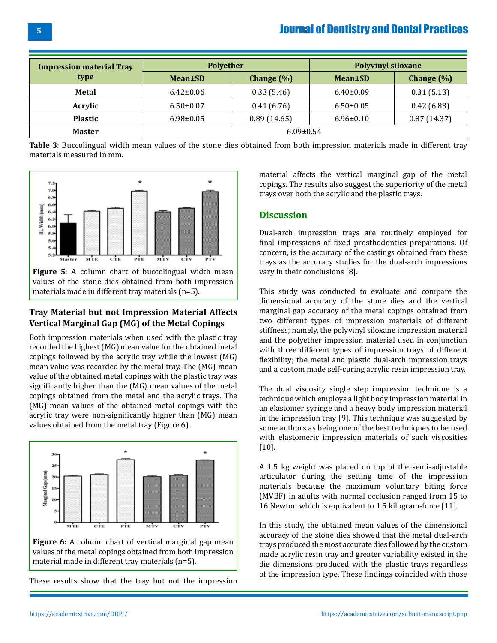| <b>Impression material Tray</b><br>type | <b>Polyether</b> |                | <b>Polyvinyl siloxane</b> |               |
|-----------------------------------------|------------------|----------------|---------------------------|---------------|
|                                         | <b>Mean</b> ±SD  | Change $(\% )$ | <b>Mean</b> ±SD           | Change $(\%)$ |
| Metal                                   | $6.42 \pm 0.06$  | 0.33(5.46)     | $6.40\pm0.09$             | 0.31(5.13)    |
| Acrylic                                 | $6.50 \pm 0.07$  | 0.41(6.76)     | $6.50\pm0.05$             | 0.42(6.83)    |
| <b>Plastic</b>                          | $6.98 \pm 0.05$  | 0.89(14.65)    | $6.96 \pm 0.10$           | 0.87(14.37)   |
| <b>Master</b>                           | $6.09 \pm 0.54$  |                |                           |               |

**Table 3**: Buccolingual width mean values of the stone dies obtained from both impression materials made in different tray materials measured in mm.



materials made in different tray materials (n=5).

#### **Tray Material but not Impression Material Affects Vertical Marginal Gap (MG) of the Metal Copings**

Both impression materials when used with the plastic tray recorded the highest (MG) mean value for the obtained metal copings followed by the acrylic tray while the lowest (MG) mean value was recorded by the metal tray. The (MG) mean value of the obtained metal copings with the plastic tray was significantly higher than the (MG) mean values of the metal copings obtained from the metal and the acrylic trays. The (MG) mean values of the obtained metal copings with the acrylic tray were non-significantly higher than (MG) mean values obtained from the metal tray (Figure 6).



**Figure 6:** A column chart of vertical marginal gap mean values of the metal copings obtained from both impression material made in different tray materials (n=5).

These results show that the tray but not the impression

material affects the vertical marginal gap of the metal copings. The results also suggest the superiority of the metal trays over both the acrylic and the plastic trays.

#### **Discussion**

Dual-arch impression trays are routinely employed for final impressions of fixed prosthodontics preparations. Of concern, is the accuracy of the castings obtained from these trays as the accuracy studies for the dual-arch impressions vary in their conclusions [8].

This study was conducted to evaluate and compare the dimensional accuracy of the stone dies and the vertical marginal gap accuracy of the metal copings obtained from two different types of impression materials of different stiffness; namely, the polyvinyl siloxane impression material and the polyether impression material used in conjunction with three different types of impression trays of different flexibility; the metal and plastic dual-arch impression trays and a custom made self-curing acrylic resin impression tray.

The dual viscosity single step impression technique is a technique which employs a light body impression material in an elastomer syringe and a heavy body impression material in the impression tray [9]. This technique was suggested by some authors as being one of the best techniques to be used with elastomeric impression materials of such viscosities [10].

A 1.5 kg weight was placed on top of the semi-adjustable articulator during the setting time of the impression materials because the maximum voluntary biting force (MVBF) in adults with normal occlusion ranged from 15 to 16 Newton which is equivalent to 1.5 kilogram-force [11].

In this study, the obtained mean values of the dimensional accuracy of the stone dies showed that the metal dual-arch trays produced the most accurate dies followed by the custom made acrylic resin tray and greater variability existed in the die dimensions produced with the plastic trays regardless of the impression type. These findings coincided with those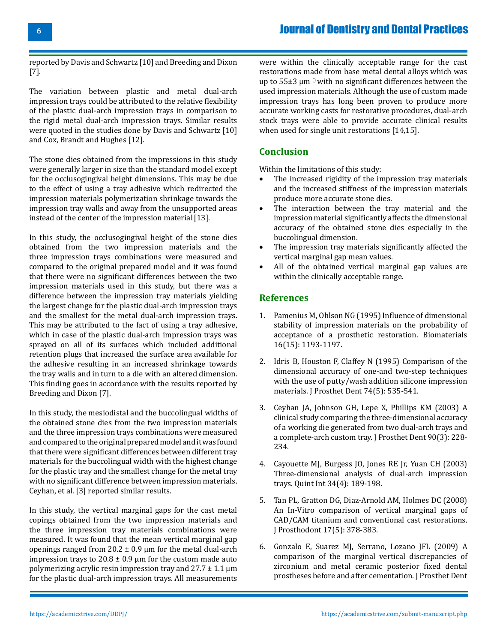**6**

reported by Davis and Schwartz [10] and Breeding and Dixon [7].

The variation between plastic and metal dual-arch impression trays could be attributed to the relative flexibility of the plastic dual-arch impression trays in comparison to the rigid metal dual-arch impression trays. Similar results were quoted in the studies done by Davis and Schwartz [10] and Cox, Brandt and Hughes [12].

The stone dies obtained from the impressions in this study were generally larger in size than the standard model except for the occlusogingival height dimensions. This may be due to the effect of using a tray adhesive which redirected the impression materials polymerization shrinkage towards the impression tray walls and away from the unsupported areas instead of the center of the impression material [13].

In this study, the occlusogingival height of the stone dies obtained from the two impression materials and the three impression trays combinations were measured and compared to the original prepared model and it was found that there were no significant differences between the two impression materials used in this study, but there was a difference between the impression tray materials yielding the largest change for the plastic dual-arch impression trays and the smallest for the metal dual-arch impression trays. This may be attributed to the fact of using a tray adhesive, which in case of the plastic dual-arch impression trays was sprayed on all of its surfaces which included additional retention plugs that increased the surface area available for the adhesive resulting in an increased shrinkage towards the tray walls and in turn to a die with an altered dimension. This finding goes in accordance with the results reported by Breeding and Dixon [7].

In this study, the mesiodistal and the buccolingual widths of the obtained stone dies from the two impression materials and the three impression trays combinations were measured and compared to the original prepared model and it was found that there were significant differences between different tray materials for the buccolingual width with the highest change for the plastic tray and the smallest change for the metal tray with no significant difference between impression materials. Ceyhan, et al. [3] reported similar results.

In this study, the vertical marginal gaps for the cast metal copings obtained from the two impression materials and the three impression tray materials combinations were measured. It was found that the mean vertical marginal gap openings ranged from  $20.2 \pm 0.9$  µm for the metal dual-arch impression trays to  $20.8 \pm 0.9$  µm for the custom made auto polymerizing acrylic resin impression tray and  $27.7 \pm 1.1 \,\mu m$ for the plastic dual-arch impression trays. All measurements

were within the clinically acceptable range for the cast restorations made from base metal dental alloys which was up to  $55\pm3$  µm  $0$  with no significant differences between the used impression materials. Although the use of custom made impression trays has long been proven to produce more accurate working casts for restorative procedures, dual-arch stock trays were able to provide accurate clinical results when used for single unit restorations [14,15].

## **Conclusion**

Within the limitations of this study:

- The increased rigidity of the impression tray materials and the increased stiffness of the impression materials produce more accurate stone dies.
- The interaction between the tray material and the impression material significantly affects the dimensional accuracy of the obtained stone dies especially in the buccolingual dimension.
- The impression tray materials significantly affected the vertical marginal gap mean values.
- All of the obtained vertical marginal gap values are within the clinically acceptable range.

#### **References**

- 1. [Pamenius M, Ohlson NG \(1995\) Influence of dimensional](https://pubmed.ncbi.nlm.nih.gov/8562798/) [stability of impression materials on the probability of](https://pubmed.ncbi.nlm.nih.gov/8562798/) [acceptance of a prosthetic restoration. Biomaterials](https://pubmed.ncbi.nlm.nih.gov/8562798/)  [16\(15\): 1193-1197.](https://pubmed.ncbi.nlm.nih.gov/8562798/)
- 2. [Idris B, Houston F, Claffey N \(1995\) Comparison of the](https://pubmed.ncbi.nlm.nih.gov/8809262/) [dimensional accuracy of one-and two-step techniques](https://pubmed.ncbi.nlm.nih.gov/8809262/) [with the use of putty/wash addition silicone impression](https://pubmed.ncbi.nlm.nih.gov/8809262/) [materials. J Prosthet Dent 74\(5\): 535-541.](https://pubmed.ncbi.nlm.nih.gov/8809262/)
- 3. [Ceyhan JA, Johnson GH, Lepe X, Phillips KM \(2003\) A](https://pubmed.ncbi.nlm.nih.gov/12942055/)  [clinical study comparing the three-dimensional accuracy](https://pubmed.ncbi.nlm.nih.gov/12942055/)  [of a working die generated from two dual-arch trays and](https://pubmed.ncbi.nlm.nih.gov/12942055/)  [a complete-arch custom tray. J Prosthet Dent 90\(3\): 228-](https://pubmed.ncbi.nlm.nih.gov/12942055/) [234.](https://pubmed.ncbi.nlm.nih.gov/12942055/)
- 4. [Cayouette MJ, Burgess JO, Jones RE Jr, Yuan CH \(2003\)](https://pubmed.ncbi.nlm.nih.gov/12731600/) [Three-dimensional analysis of dual-arch impression](https://pubmed.ncbi.nlm.nih.gov/12731600/) [trays. Quint Int 34\(4\): 189-198.](https://pubmed.ncbi.nlm.nih.gov/12731600/)
- 5. [Tan PL, Gratton DG, Diaz-Arnold AM, Holmes DC \(2008\)](https://pubmed.ncbi.nlm.nih.gov/18355167/) [An In-Vitro comparison of vertical marginal gaps of](https://pubmed.ncbi.nlm.nih.gov/18355167/) [CAD/CAM titanium and conventional cast restorations.](https://pubmed.ncbi.nlm.nih.gov/18355167/) [J Prosthodont 17\(5\): 378-383.](https://pubmed.ncbi.nlm.nih.gov/18355167/)
- 6. [Gonzalo E, Suarez MJ, Serrano, Lozano JFL \(2009\) A](https://pubmed.ncbi.nlm.nih.gov/19961996/)  [comparison of the marginal vertical discrepancies of](https://pubmed.ncbi.nlm.nih.gov/19961996/) [zirconium and metal ceramic posterior fixed dental](https://pubmed.ncbi.nlm.nih.gov/19961996/)  [prostheses before and after cementation. J Prosthet Dent](https://pubmed.ncbi.nlm.nih.gov/19961996/)